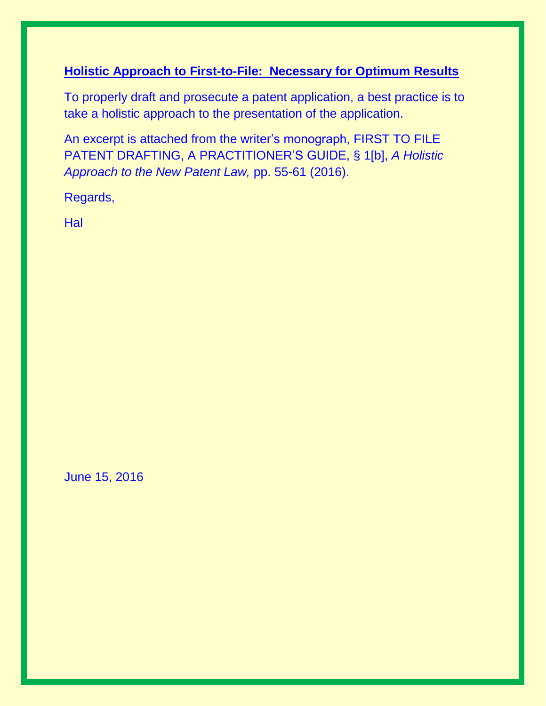#### **Holistic Approach to First-to-File: Necessary for Optimum Results**

To properly draft and prosecute a patent application, a best practice is to take a holistic approach to the presentation of the application.

An excerpt is attached from the writer's monograph, FIRST TO FILE PATENT DRAFTING, A PRACTITIONER'S GUIDE, § 1[b], *A Holistic Approach to the New Patent Law,* pp. 55-61 (2016).

Regards,

**Hal** 

June 15, 2016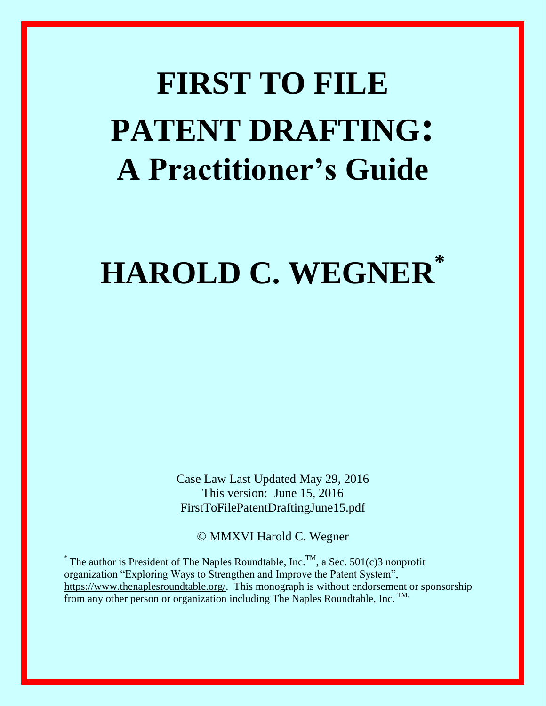# **FIRST TO FILE PATENT DRAFTING: A Practitioner's Guide**

## **HAROLD C. WEGNER\***

Case Law Last Updated May 29, 2016 This version: June 15, 2016 FirstToFilePatentDraftingJune15.pdf

© MMXVI Harold C. Wegner

 $*$  The author is President of The Naples Roundtable, Inc.<sup>TM</sup>, a Sec. 501(c)3 nonprofit organization "Exploring Ways to Strengthen and Improve the Patent System", [https://www.thenaplesroundtable.org/.](https://www.thenaplesroundtable.org/) This monograph is without endorsement or sponsorship from any other person or organization including The Naples Roundtable, Inc. TM.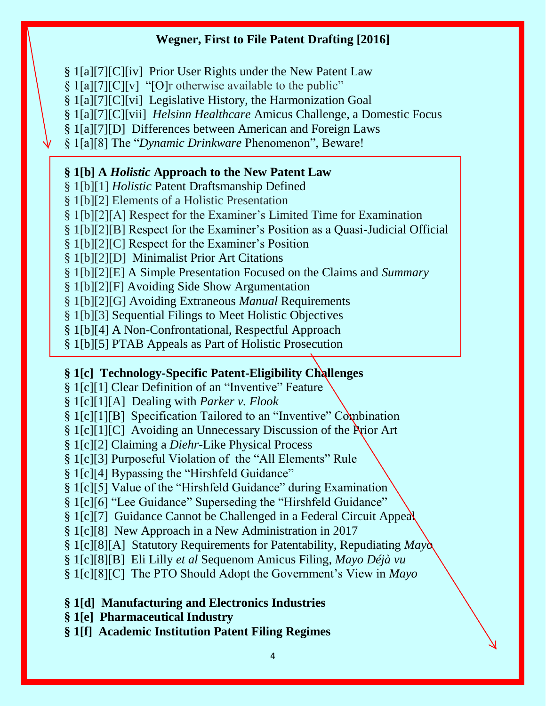§ 1[a][7][C][iv] Prior User Rights under the New Patent Law

§ 1[a][7][C][v] "[O]r otherwise available to the public"

§ 1[a][7][C][vi] Legislative History, the Harmonization Goal

§ 1[a][7][C][vii] *Helsinn Healthcare* Amicus Challenge, a Domestic Focus

§ 1[a][7][D] Differences between American and Foreign Laws

§ 1[a][8] The "*Dynamic Drinkware* Phenomenon", Beware!

#### **§ 1[b] A** *Holistic* **Approach to the New Patent Law**

§ 1[b][1] *Holistic* Patent Draftsmanship Defined

§ 1[b][2] Elements of a Holistic Presentation

§ 1[b][2][A] Respect for the Examiner's Limited Time for Examination

§ 1[b][2][B] Respect for the Examiner's Position as a Quasi-Judicial Official

§ 1[b][2][C] Respect for the Examiner's Position

§ 1[b][2][D] Minimalist Prior Art Citations

§ 1[b][2][E] A Simple Presentation Focused on the Claims and *Summary*

§ 1[b][2][F] Avoiding Side Show Argumentation

§ 1[b][2][G] Avoiding Extraneous *Manual* Requirements

§ 1[b][3] Sequential Filings to Meet Holistic Objectives

§ 1[b][4] A Non-Confrontational, Respectful Approach

§ 1[b][5] PTAB Appeals as Part of Holistic Prosecution

#### **§ 1[c] Technology-Specific Patent-Eligibility Challenges**

§ 1[c][1] Clear Definition of an "Inventive" Feature

§ 1[c][1][A] Dealing with *Parker v. Flook*

§ 1[c][1][B] Specification Tailored to an "Inventive" Combination

§ 1[c][1][C] Avoiding an Unnecessary Discussion of the Prior Art

§ 1[c][2] Claiming a *Diehr-*Like Physical Process

§ 1[c][3] Purposeful Violation of the "All Elements" Rule

§ 1[c][4] Bypassing the "Hirshfeld Guidance"

§ 1[c][5] Value of the "Hirshfeld Guidance" during Examination

§ 1[c][6] "Lee Guidance" Superseding the "Hirshfeld Guidance"

§ 1[c][7] Guidance Cannot be Challenged in a Federal Circuit Appeal

§ 1[c][8] New Approach in a New Administration in 2017

§ 1[c][8][A] Statutory Requirements for Patentability, Repudiating *Mayo*

§ 1[c][8][B] Eli Lilly *et al* Sequenom Amicus Filing, *Mayo Déjà vu* 

§ 1[c][8][C] The PTO Should Adopt the Government's View in *Mayo*

#### **§ 1[d] Manufacturing and Electronics Industries**

**§ 1[e] Pharmaceutical Industry**

**§ 1[f] Academic Institution Patent Filing Regimes**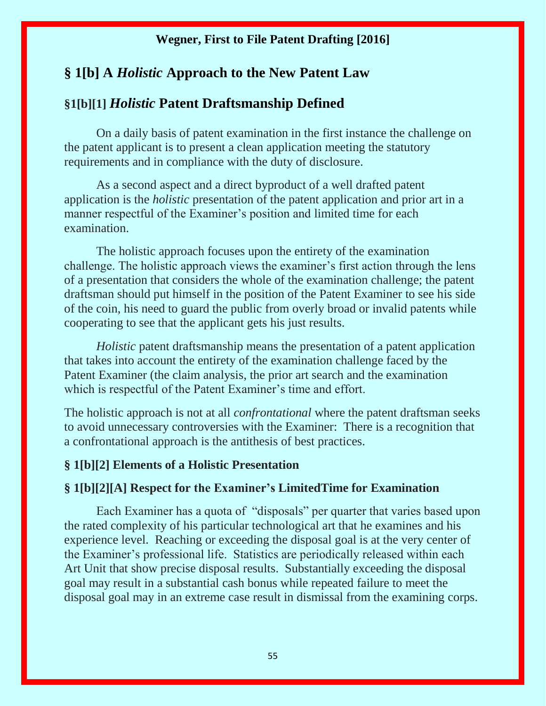#### **§ 1[b] A** *Holistic* **Approach to the New Patent Law**

#### **§1[b][1]** *Holistic* **Patent Draftsmanship Defined**

On a daily basis of patent examination in the first instance the challenge on the patent applicant is to present a clean application meeting the statutory requirements and in compliance with the duty of disclosure.

As a second aspect and a direct byproduct of a well drafted patent application is the *holistic* presentation of the patent application and prior art in a manner respectful of the Examiner's position and limited time for each examination.

The holistic approach focuses upon the entirety of the examination challenge. The holistic approach views the examiner's first action through the lens of a presentation that considers the whole of the examination challenge; the patent draftsman should put himself in the position of the Patent Examiner to see his side of the coin, his need to guard the public from overly broad or invalid patents while cooperating to see that the applicant gets his just results.

*Holistic* patent draftsmanship means the presentation of a patent application that takes into account the entirety of the examination challenge faced by the Patent Examiner (the claim analysis, the prior art search and the examination which is respectful of the Patent Examiner's time and effort.

The holistic approach is not at all *confrontational* where the patent draftsman seeks to avoid unnecessary controversies with the Examiner: There is a recognition that a confrontational approach is the antithesis of best practices.

#### **§ 1[b][2] Elements of a Holistic Presentation**

#### **§ 1[b][2][A] Respect for the Examiner's LimitedTime for Examination**

Each Examiner has a quota of "disposals" per quarter that varies based upon the rated complexity of his particular technological art that he examines and his experience level. Reaching or exceeding the disposal goal is at the very center of the Examiner's professional life. Statistics are periodically released within each Art Unit that show precise disposal results. Substantially exceeding the disposal goal may result in a substantial cash bonus while repeated failure to meet the disposal goal may in an extreme case result in dismissal from the examining corps.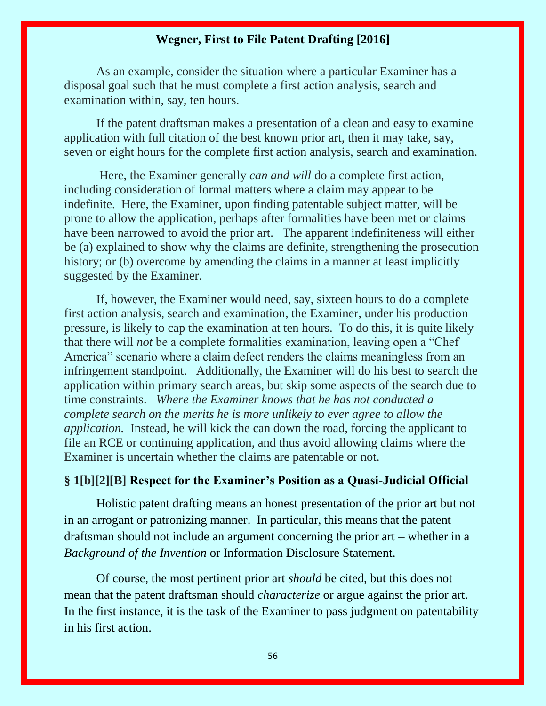As an example, consider the situation where a particular Examiner has a disposal goal such that he must complete a first action analysis, search and examination within, say, ten hours.

If the patent draftsman makes a presentation of a clean and easy to examine application with full citation of the best known prior art, then it may take, say, seven or eight hours for the complete first action analysis, search and examination.

Here, the Examiner generally *can and will* do a complete first action, including consideration of formal matters where a claim may appear to be indefinite. Here, the Examiner, upon finding patentable subject matter, will be prone to allow the application, perhaps after formalities have been met or claims have been narrowed to avoid the prior art. The apparent indefiniteness will either be (a) explained to show why the claims are definite, strengthening the prosecution history; or (b) overcome by amending the claims in a manner at least implicitly suggested by the Examiner.

If, however, the Examiner would need, say, sixteen hours to do a complete first action analysis, search and examination, the Examiner, under his production pressure, is likely to cap the examination at ten hours. To do this, it is quite likely that there will *not* be a complete formalities examination, leaving open a "Chef America" scenario where a claim defect renders the claims meaningless from an infringement standpoint. Additionally, the Examiner will do his best to search the application within primary search areas, but skip some aspects of the search due to time constraints. *Where the Examiner knows that he has not conducted a complete search on the merits he is more unlikely to ever agree to allow the application.* Instead, he will kick the can down the road, forcing the applicant to file an RCE or continuing application, and thus avoid allowing claims where the Examiner is uncertain whether the claims are patentable or not.

#### **§ 1[b][2][B] Respect for the Examiner's Position as a Quasi-Judicial Official**

Holistic patent drafting means an honest presentation of the prior art but not in an arrogant or patronizing manner. In particular, this means that the patent draftsman should not include an argument concerning the prior art – whether in a *Background of the Invention* or Information Disclosure Statement.

Of course, the most pertinent prior art *should* be cited, but this does not mean that the patent draftsman should *characterize* or argue against the prior art. In the first instance, it is the task of the Examiner to pass judgment on patentability in his first action.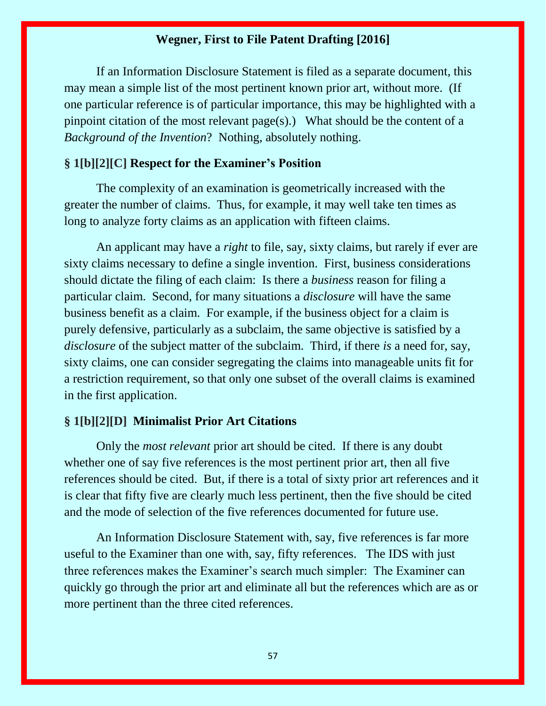If an Information Disclosure Statement is filed as a separate document, this may mean a simple list of the most pertinent known prior art, without more. (If one particular reference is of particular importance, this may be highlighted with a pinpoint citation of the most relevant page(s).) What should be the content of a *Background of the Invention*? Nothing, absolutely nothing.

#### **§ 1[b][2][C] Respect for the Examiner's Position**

The complexity of an examination is geometrically increased with the greater the number of claims. Thus, for example, it may well take ten times as long to analyze forty claims as an application with fifteen claims.

An applicant may have a *right* to file, say, sixty claims, but rarely if ever are sixty claims necessary to define a single invention. First, business considerations should dictate the filing of each claim: Is there a *business* reason for filing a particular claim. Second, for many situations a *disclosure* will have the same business benefit as a claim. For example, if the business object for a claim is purely defensive, particularly as a subclaim, the same objective is satisfied by a *disclosure* of the subject matter of the subclaim. Third, if there *is* a need for, say, sixty claims, one can consider segregating the claims into manageable units fit for a restriction requirement, so that only one subset of the overall claims is examined in the first application.

#### **§ 1[b][2][D] Minimalist Prior Art Citations**

Only the *most relevant* prior art should be cited. If there is any doubt whether one of say five references is the most pertinent prior art, then all five references should be cited. But, if there is a total of sixty prior art references and it is clear that fifty five are clearly much less pertinent, then the five should be cited and the mode of selection of the five references documented for future use.

An Information Disclosure Statement with, say, five references is far more useful to the Examiner than one with, say, fifty references. The IDS with just three references makes the Examiner's search much simpler: The Examiner can quickly go through the prior art and eliminate all but the references which are as or more pertinent than the three cited references.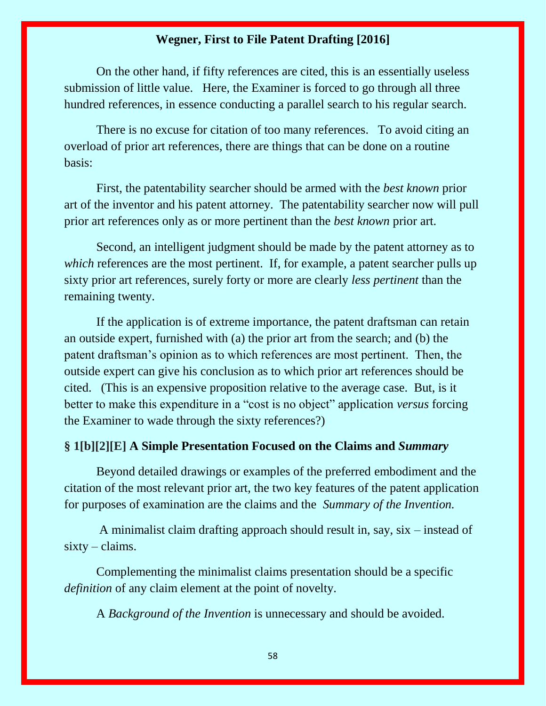On the other hand, if fifty references are cited, this is an essentially useless submission of little value. Here, the Examiner is forced to go through all three hundred references, in essence conducting a parallel search to his regular search.

There is no excuse for citation of too many references. To avoid citing an overload of prior art references, there are things that can be done on a routine basis:

First, the patentability searcher should be armed with the *best known* prior art of the inventor and his patent attorney. The patentability searcher now will pull prior art references only as or more pertinent than the *best known* prior art.

Second, an intelligent judgment should be made by the patent attorney as to *which* references are the most pertinent. If, for example, a patent searcher pulls up sixty prior art references, surely forty or more are clearly *less pertinent* than the remaining twenty.

If the application is of extreme importance, the patent draftsman can retain an outside expert, furnished with (a) the prior art from the search; and (b) the patent draftsman's opinion as to which references are most pertinent. Then, the outside expert can give his conclusion as to which prior art references should be cited. (This is an expensive proposition relative to the average case. But, is it better to make this expenditure in a "cost is no object" application *versus* forcing the Examiner to wade through the sixty references?)

#### **§ 1[b][2][E] A Simple Presentation Focused on the Claims and** *Summary*

Beyond detailed drawings or examples of the preferred embodiment and the citation of the most relevant prior art, the two key features of the patent application for purposes of examination are the claims and the *Summary of the Invention.*

A minimalist claim drafting approach should result in, say, six – instead of  $sixty - claims.$ 

Complementing the minimalist claims presentation should be a specific *definition* of any claim element at the point of novelty.

A *Background of the Invention* is unnecessary and should be avoided.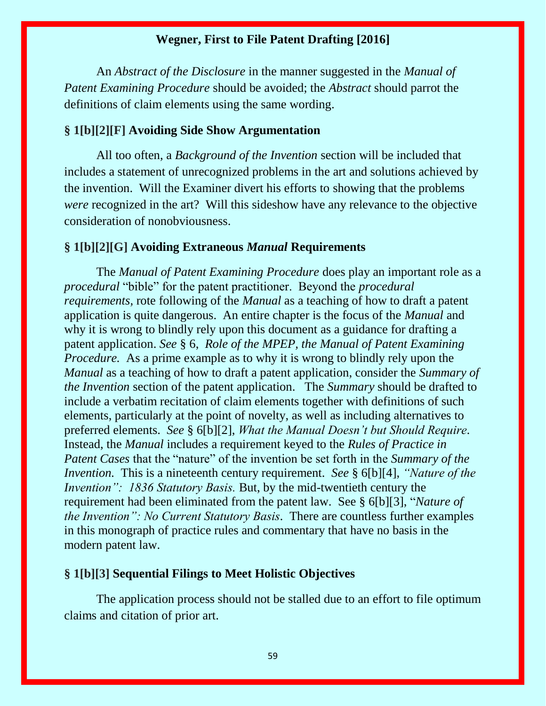An *Abstract of the Disclosure* in the manner suggested in the *Manual of Patent Examining Procedure* should be avoided; the *Abstract* should parrot the definitions of claim elements using the same wording.

#### **§ 1[b][2][F] Avoiding Side Show Argumentation**

All too often, a *Background of the Invention* section will be included that includes a statement of unrecognized problems in the art and solutions achieved by the invention. Will the Examiner divert his efforts to showing that the problems *were* recognized in the art? Will this sideshow have any relevance to the objective consideration of nonobviousness.

#### **§ 1[b][2][G] Avoiding Extraneous** *Manual* **Requirements**

The *Manual of Patent Examining Procedure* does play an important role as a *procedural* "bible" for the patent practitioner. Beyond the *procedural requirements,* rote following of the *Manual* as a teaching of how to draft a patent application is quite dangerous. An entire chapter is the focus of the *Manual* and why it is wrong to blindly rely upon this document as a guidance for drafting a patent application. *See* § 6, *Role of the MPEP, the Manual of Patent Examining Procedure.* As a prime example as to why it is wrong to blindly rely upon the *Manual* as a teaching of how to draft a patent application, consider the *Summary of the Invention* section of the patent application. The *Summary* should be drafted to include a verbatim recitation of claim elements together with definitions of such elements, particularly at the point of novelty, as well as including alternatives to preferred elements. *See* § 6[b][2], *What the Manual Doesn't but Should Require.*  Instead, the *Manual* includes a requirement keyed to the *Rules of Practice in Patent Cases* that the "nature" of the invention be set forth in the *Summary of the Invention.* This is a nineteenth century requirement. *See* § 6[b][4], *"Nature of the Invention": 1836 Statutory Basis.* But, by the mid-twentieth century the requirement had been eliminated from the patent law. See § 6[b][3], "*Nature of the Invention": No Current Statutory Basis.* There are countless further examples in this monograph of practice rules and commentary that have no basis in the modern patent law.

#### **§ 1[b][3] Sequential Filings to Meet Holistic Objectives**

The application process should not be stalled due to an effort to file optimum claims and citation of prior art.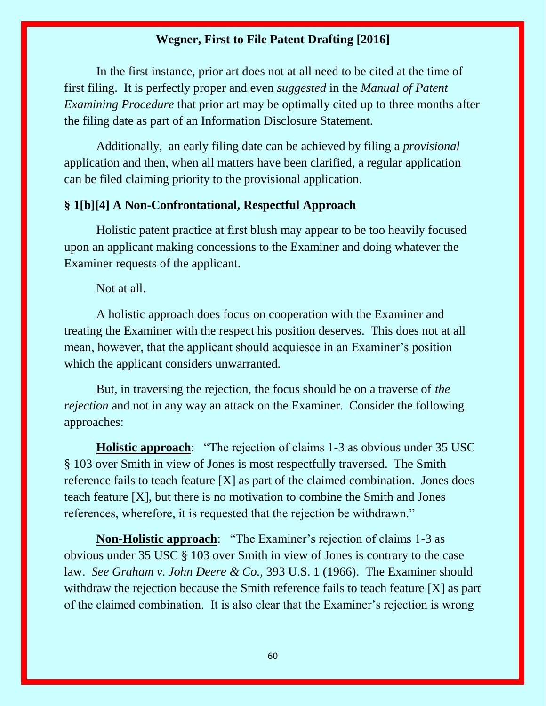In the first instance, prior art does not at all need to be cited at the time of first filing. It is perfectly proper and even *suggested* in the *Manual of Patent Examining Procedure* that prior art may be optimally cited up to three months after the filing date as part of an Information Disclosure Statement.

Additionally, an early filing date can be achieved by filing a *provisional*  application and then, when all matters have been clarified, a regular application can be filed claiming priority to the provisional application.

#### **§ 1[b][4] A Non-Confrontational, Respectful Approach**

Holistic patent practice at first blush may appear to be too heavily focused upon an applicant making concessions to the Examiner and doing whatever the Examiner requests of the applicant.

Not at all.

A holistic approach does focus on cooperation with the Examiner and treating the Examiner with the respect his position deserves. This does not at all mean, however, that the applicant should acquiesce in an Examiner's position which the applicant considers unwarranted.

But, in traversing the rejection, the focus should be on a traverse of *the rejection* and not in any way an attack on the Examiner. Consider the following approaches:

**Holistic approach**: "The rejection of claims 1-3 as obvious under 35 USC § 103 over Smith in view of Jones is most respectfully traversed. The Smith reference fails to teach feature [X] as part of the claimed combination. Jones does teach feature [X], but there is no motivation to combine the Smith and Jones references, wherefore, it is requested that the rejection be withdrawn."

**Non-Holistic approach**: "The Examiner's rejection of claims 1-3 as obvious under 35 USC § 103 over Smith in view of Jones is contrary to the case law. *See Graham v. John Deere & Co.,* 393 U.S. 1 (1966). The Examiner should withdraw the rejection because the Smith reference fails to teach feature [X] as part of the claimed combination. It is also clear that the Examiner's rejection is wrong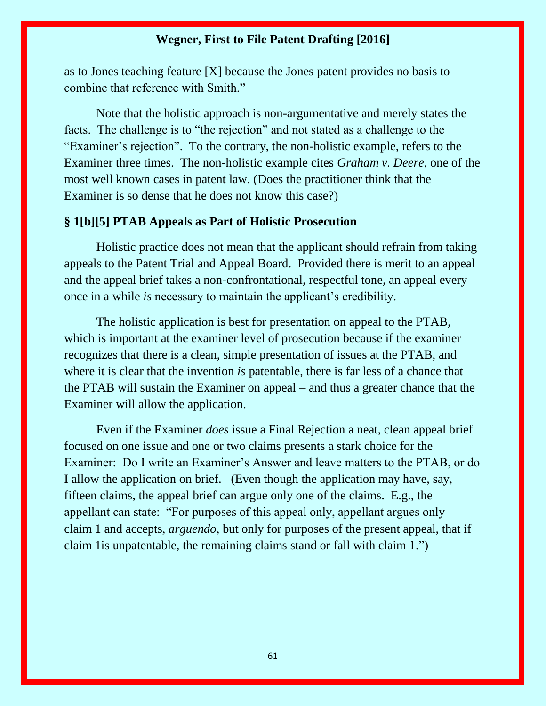as to Jones teaching feature [X] because the Jones patent provides no basis to combine that reference with Smith."

Note that the holistic approach is non-argumentative and merely states the facts. The challenge is to "the rejection" and not stated as a challenge to the "Examiner's rejection". To the contrary, the non-holistic example, refers to the Examiner three times. The non-holistic example cites *Graham v. Deere,* one of the most well known cases in patent law. (Does the practitioner think that the Examiner is so dense that he does not know this case?)

#### **§ 1[b][5] PTAB Appeals as Part of Holistic Prosecution**

Holistic practice does not mean that the applicant should refrain from taking appeals to the Patent Trial and Appeal Board. Provided there is merit to an appeal and the appeal brief takes a non-confrontational, respectful tone, an appeal every once in a while *is* necessary to maintain the applicant's credibility.

The holistic application is best for presentation on appeal to the PTAB, which is important at the examiner level of prosecution because if the examiner recognizes that there is a clean, simple presentation of issues at the PTAB, and where it is clear that the invention *is* patentable, there is far less of a chance that the PTAB will sustain the Examiner on appeal – and thus a greater chance that the Examiner will allow the application.

Even if the Examiner *does* issue a Final Rejection a neat, clean appeal brief focused on one issue and one or two claims presents a stark choice for the Examiner: Do I write an Examiner's Answer and leave matters to the PTAB, or do I allow the application on brief. (Even though the application may have, say, fifteen claims, the appeal brief can argue only one of the claims. E.g., the appellant can state: "For purposes of this appeal only, appellant argues only claim 1 and accepts, *arguendo*, but only for purposes of the present appeal, that if claim 1is unpatentable, the remaining claims stand or fall with claim 1.")